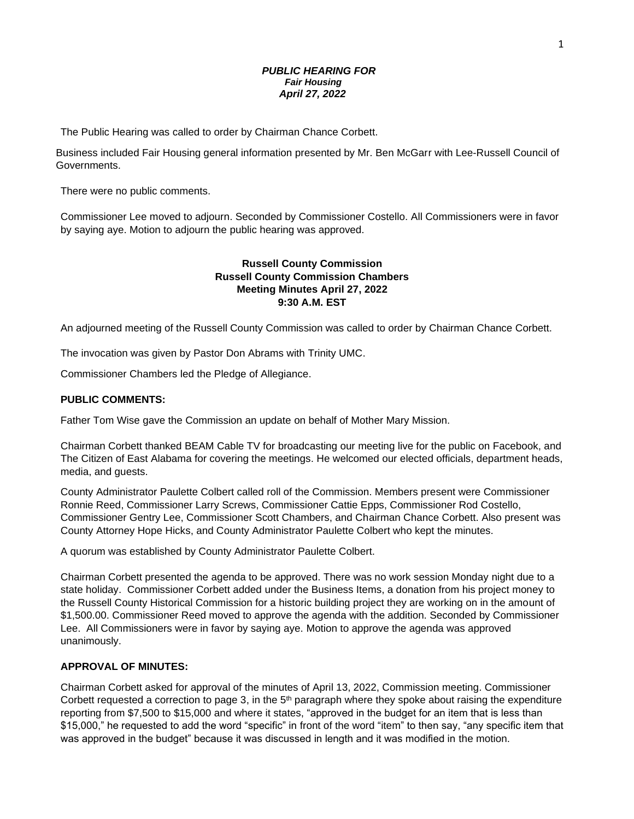## *PUBLIC HEARING FOR Fair Housing April 27, 2022*

The Public Hearing was called to order by Chairman Chance Corbett.

Business included Fair Housing general information presented by Mr. Ben McGarr with Lee-Russell Council of Governments.

There were no public comments.

Commissioner Lee moved to adjourn. Seconded by Commissioner Costello. All Commissioners were in favor by saying aye. Motion to adjourn the public hearing was approved.

# **Russell County Commission Russell County Commission Chambers Meeting Minutes April 27, 2022 9:30 A.M. EST**

An adjourned meeting of the Russell County Commission was called to order by Chairman Chance Corbett.

The invocation was given by Pastor Don Abrams with Trinity UMC.

Commissioner Chambers led the Pledge of Allegiance.

## **PUBLIC COMMENTS:**

Father Tom Wise gave the Commission an update on behalf of Mother Mary Mission.

Chairman Corbett thanked BEAM Cable TV for broadcasting our meeting live for the public on Facebook, and The Citizen of East Alabama for covering the meetings. He welcomed our elected officials, department heads, media, and guests.

County Administrator Paulette Colbert called roll of the Commission. Members present were Commissioner Ronnie Reed, Commissioner Larry Screws, Commissioner Cattie Epps, Commissioner Rod Costello, Commissioner Gentry Lee, Commissioner Scott Chambers, and Chairman Chance Corbett. Also present was County Attorney Hope Hicks, and County Administrator Paulette Colbert who kept the minutes.

A quorum was established by County Administrator Paulette Colbert.

Chairman Corbett presented the agenda to be approved. There was no work session Monday night due to a state holiday. Commissioner Corbett added under the Business Items, a donation from his project money to the Russell County Historical Commission for a historic building project they are working on in the amount of \$1,500.00. Commissioner Reed moved to approve the agenda with the addition. Seconded by Commissioner Lee. All Commissioners were in favor by saying aye. Motion to approve the agenda was approved unanimously.

## **APPROVAL OF MINUTES:**

Chairman Corbett asked for approval of the minutes of April 13, 2022, Commission meeting. Commissioner Corbett requested a correction to page 3, in the  $5<sup>th</sup>$  paragraph where they spoke about raising the expenditure reporting from \$7,500 to \$15,000 and where it states, "approved in the budget for an item that is less than \$15,000," he requested to add the word "specific" in front of the word "item" to then say, "any specific item that was approved in the budget" because it was discussed in length and it was modified in the motion.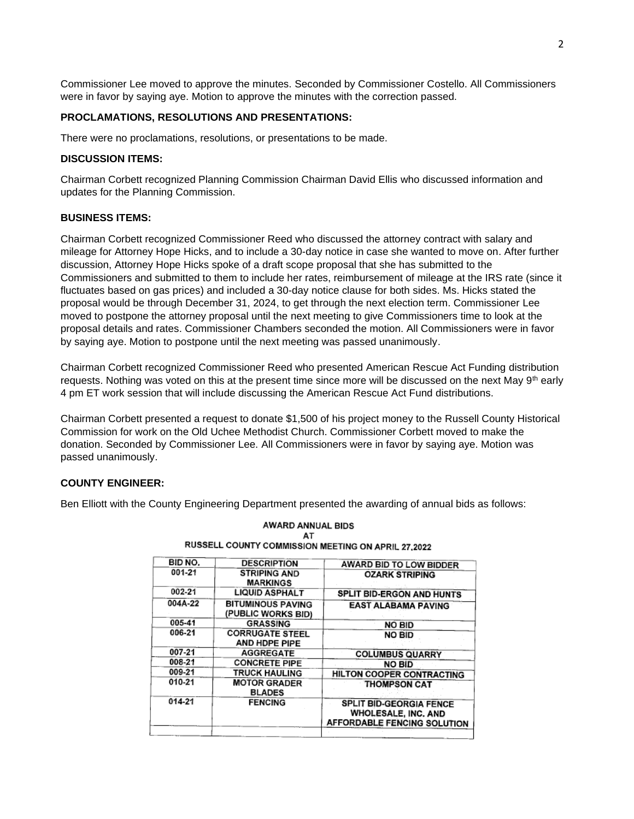Commissioner Lee moved to approve the minutes. Seconded by Commissioner Costello. All Commissioners were in favor by saying aye. Motion to approve the minutes with the correction passed.

### **PROCLAMATIONS, RESOLUTIONS AND PRESENTATIONS:**

There were no proclamations, resolutions, or presentations to be made.

## **DISCUSSION ITEMS:**

Chairman Corbett recognized Planning Commission Chairman David Ellis who discussed information and updates for the Planning Commission.

### **BUSINESS ITEMS:**

Chairman Corbett recognized Commissioner Reed who discussed the attorney contract with salary and mileage for Attorney Hope Hicks, and to include a 30-day notice in case she wanted to move on. After further discussion, Attorney Hope Hicks spoke of a draft scope proposal that she has submitted to the Commissioners and submitted to them to include her rates, reimbursement of mileage at the IRS rate (since it fluctuates based on gas prices) and included a 30-day notice clause for both sides. Ms. Hicks stated the proposal would be through December 31, 2024, to get through the next election term. Commissioner Lee moved to postpone the attorney proposal until the next meeting to give Commissioners time to look at the proposal details and rates. Commissioner Chambers seconded the motion. All Commissioners were in favor by saying aye. Motion to postpone until the next meeting was passed unanimously.

Chairman Corbett recognized Commissioner Reed who presented American Rescue Act Funding distribution requests. Nothing was voted on this at the present time since more will be discussed on the next May 9th early 4 pm ET work session that will include discussing the American Rescue Act Fund distributions.

Chairman Corbett presented a request to donate \$1,500 of his project money to the Russell County Historical Commission for work on the Old Uchee Methodist Church. Commissioner Corbett moved to make the donation. Seconded by Commissioner Lee. All Commissioners were in favor by saying aye. Motion was passed unanimously.

### **COUNTY ENGINEER:**

Ben Elliott with the County Engineering Department presented the awarding of annual bids as follows:

| BID NO. | <b>DESCRIPTION</b>                             | AWARD BID TO LOW BIDDER                                                                            |
|---------|------------------------------------------------|----------------------------------------------------------------------------------------------------|
| 001-21  | <b>STRIPING AND</b><br><b>MARKINGS</b>         | <b>OZARK STRIPING</b>                                                                              |
| 002-21  | <b>LIQUID ASPHALT</b>                          | SPLIT BID-ERGON AND HUNTS                                                                          |
| 004A-22 | <b>BITUMINOUS PAVING</b><br>(PUBLIC WORKS BID) | <b>EAST ALABAMA PAVING</b>                                                                         |
| 005-41  | <b>GRASSING</b>                                | <b>NO BID</b>                                                                                      |
| 006-21  | <b>CORRUGATE STEEL</b><br>AND HDPE PIPE        | <b>NO BID</b>                                                                                      |
| 007-21  | <b>AGGREGATE</b>                               | <b>COLUMBUS QUARRY</b>                                                                             |
| 008-21  | <b>CONCRETE PIPE</b>                           | <b>NO BID</b>                                                                                      |
| 009-21  | <b>TRUCK HAULING</b>                           | HILTON COOPER CONTRACTING                                                                          |
| 010-21  | <b>MOTOR GRADER</b><br><b>BLADES</b>           | <b>THOMPSON CAT</b>                                                                                |
| 014-21  | <b>FENCING</b>                                 | <b>SPLIT BID-GEORGIA FENCE</b><br><b>WHOLESALE, INC. AND</b><br><b>AFFORDABLE FENCING SOLUTION</b> |

#### AWARD ANNUAL BIDS AT **RUSSELL COUNTY COMMISSION MEETING ON ADDIL 27 2022**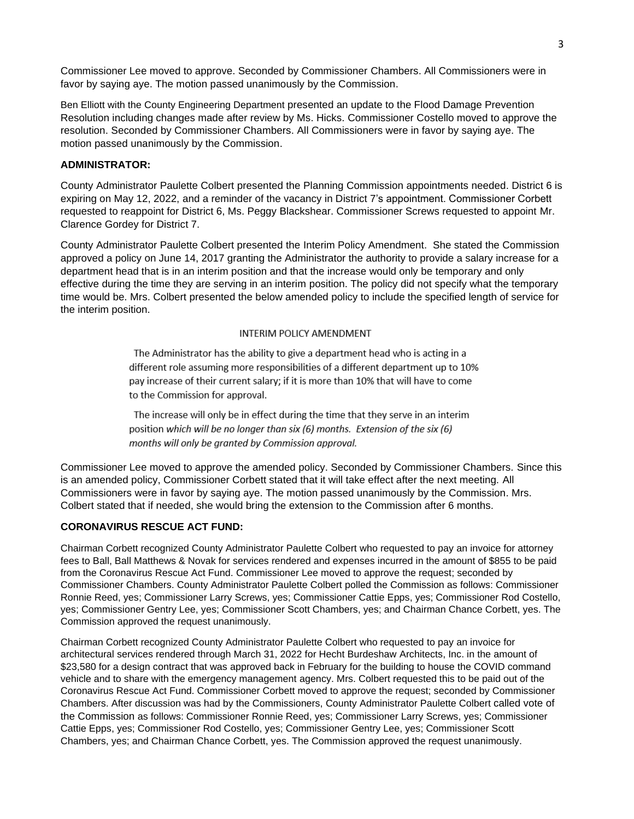Commissioner Lee moved to approve. Seconded by Commissioner Chambers. All Commissioners were in favor by saying aye. The motion passed unanimously by the Commission.

Ben Elliott with the County Engineering Department presented an update to the Flood Damage Prevention Resolution including changes made after review by Ms. Hicks. Commissioner Costello moved to approve the resolution. Seconded by Commissioner Chambers. All Commissioners were in favor by saying aye. The motion passed unanimously by the Commission.

# **ADMINISTRATOR:**

County Administrator Paulette Colbert presented the Planning Commission appointments needed. District 6 is expiring on May 12, 2022, and a reminder of the vacancy in District 7's appointment. Commissioner Corbett requested to reappoint for District 6, Ms. Peggy Blackshear. Commissioner Screws requested to appoint Mr. Clarence Gordey for District 7.

County Administrator Paulette Colbert presented the Interim Policy Amendment. She stated the Commission approved a policy on June 14, 2017 granting the Administrator the authority to provide a salary increase for a department head that is in an interim position and that the increase would only be temporary and only effective during the time they are serving in an interim position. The policy did not specify what the temporary time would be. Mrs. Colbert presented the below amended policy to include the specified length of service for the interim position.

### **INTERIM POLICY AMENDMENT**

The Administrator has the ability to give a department head who is acting in a different role assuming more responsibilities of a different department up to 10% pay increase of their current salary; if it is more than 10% that will have to come to the Commission for approval.

The increase will only be in effect during the time that they serve in an interim position which will be no longer than six (6) months. Extension of the six (6) months will only be granted by Commission approval.

Commissioner Lee moved to approve the amended policy. Seconded by Commissioner Chambers. Since this is an amended policy, Commissioner Corbett stated that it will take effect after the next meeting. All Commissioners were in favor by saying aye. The motion passed unanimously by the Commission. Mrs. Colbert stated that if needed, she would bring the extension to the Commission after 6 months.

### **CORONAVIRUS RESCUE ACT FUND:**

Chairman Corbett recognized County Administrator Paulette Colbert who requested to pay an invoice for attorney fees to Ball, Ball Matthews & Novak for services rendered and expenses incurred in the amount of \$855 to be paid from the Coronavirus Rescue Act Fund. Commissioner Lee moved to approve the request; seconded by Commissioner Chambers. County Administrator Paulette Colbert polled the Commission as follows: Commissioner Ronnie Reed, yes; Commissioner Larry Screws, yes; Commissioner Cattie Epps, yes; Commissioner Rod Costello, yes; Commissioner Gentry Lee, yes; Commissioner Scott Chambers, yes; and Chairman Chance Corbett, yes. The Commission approved the request unanimously.

Chairman Corbett recognized County Administrator Paulette Colbert who requested to pay an invoice for architectural services rendered through March 31, 2022 for Hecht Burdeshaw Architects, Inc. in the amount of \$23,580 for a design contract that was approved back in February for the building to house the COVID command vehicle and to share with the emergency management agency. Mrs. Colbert requested this to be paid out of the Coronavirus Rescue Act Fund. Commissioner Corbett moved to approve the request; seconded by Commissioner Chambers. After discussion was had by the Commissioners, County Administrator Paulette Colbert called vote of the Commission as follows: Commissioner Ronnie Reed, yes; Commissioner Larry Screws, yes; Commissioner Cattie Epps, yes; Commissioner Rod Costello, yes; Commissioner Gentry Lee, yes; Commissioner Scott Chambers, yes; and Chairman Chance Corbett, yes. The Commission approved the request unanimously.